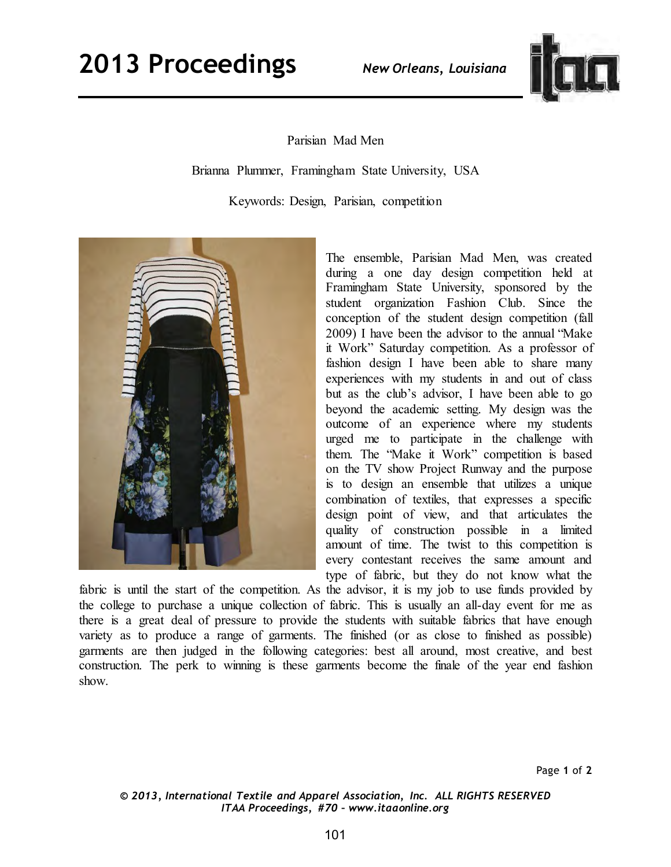

Parisian Mad Men

Brianna Plummer, Framingham State University, USA

Keywords: Design, Parisian, competition



The ensemble, Parisian Mad Men, was created during a one day design competition held at Framingham State University, sponsored by the student organization Fashion Club. Since the conception of the student design competition (fall 2009) I have been the advisor to the annual "Make it Work" Saturday competition. As a professor of fashion design I have been able to share many experiences with my students in and out of class but as the club's advisor, I have been able to go beyond the academic setting. My design was the outcome of an experience where my students urged me to participate in the challenge with them. The "Make it Work" competition is based on the TV show Project Runway and the purpose is to design an ensemble that utilizes a unique combination of textiles, that expresses a specific design point of view, and that articulates the quality of construction possible in a limited amount of time. The twist to this competition is every contestant receives the same amount and type of fabric, but they do not know what the

fabric is until the start of the competition. As the advisor, it is my job to use funds provided by the college to purchase a unique collection of fabric. This is usually an all-day event for me as there is a great deal of pressure to provide the students with suitable fabrics that have enough variety as to produce a range of garments. The finished (or as close to finished as possible) garments are then judged in the following categories: best all around, most creative, and best construction. The perk to winning is these garments become the finale of the year end fashion show.